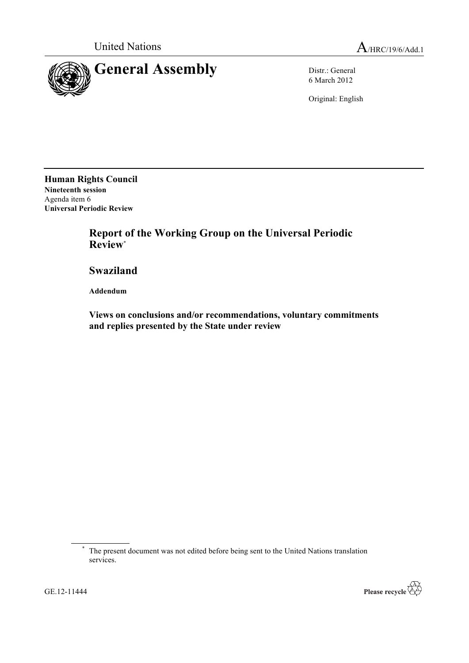

6 March 2012

Original: English

**Human Rights Council Nineteenth session** Agenda item 6 **Universal Periodic Review**

> **Report of the Working Group on the Universal Periodic Review**\*

**Swaziland**

**Addendum**

**Views on conclusions and/or recommendations, voluntary commitments and replies presented by the State under review**



<sup>\*</sup> The present document was not edited before being sent to the United Nations translation services.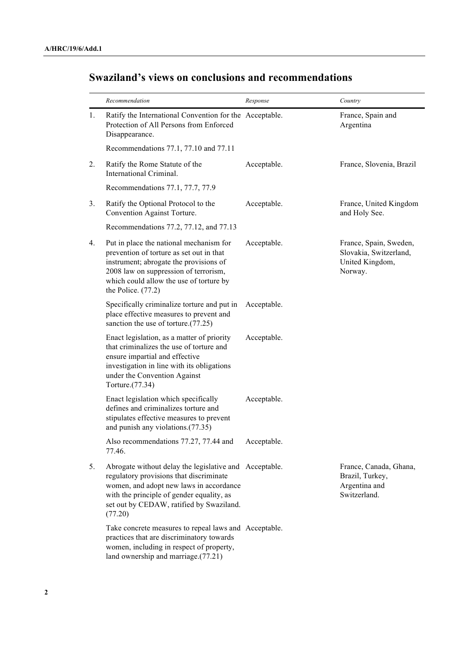## **Swaziland's views on conclusions and recommendations**

|    | Recommendation                                                                                                                                                                                                                                   | Response    | Country                                                                        |
|----|--------------------------------------------------------------------------------------------------------------------------------------------------------------------------------------------------------------------------------------------------|-------------|--------------------------------------------------------------------------------|
| 1. | Ratify the International Convention for the Acceptable.<br>Protection of All Persons from Enforced<br>Disappearance.                                                                                                                             |             | France, Spain and<br>Argentina                                                 |
|    | Recommendations 77.1, 77.10 and 77.11                                                                                                                                                                                                            |             |                                                                                |
| 2. | Ratify the Rome Statute of the<br>International Criminal.                                                                                                                                                                                        | Acceptable. | France, Slovenia, Brazil                                                       |
|    | Recommendations 77.1, 77.7, 77.9                                                                                                                                                                                                                 |             |                                                                                |
| 3. | Ratify the Optional Protocol to the<br>Convention Against Torture.                                                                                                                                                                               | Acceptable. | France, United Kingdom<br>and Holy See.                                        |
|    | Recommendations 77.2, 77.12, and 77.13                                                                                                                                                                                                           |             |                                                                                |
| 4. | Put in place the national mechanism for<br>prevention of torture as set out in that<br>instrument; abrogate the provisions of<br>2008 law on suppression of terrorism,<br>which could allow the use of torture by<br>the Police. $(77.2)$        | Acceptable. | France, Spain, Sweden,<br>Slovakia, Switzerland,<br>United Kingdom,<br>Norway. |
|    | Specifically criminalize torture and put in<br>place effective measures to prevent and<br>sanction the use of torture.(77.25)                                                                                                                    | Acceptable. |                                                                                |
|    | Enact legislation, as a matter of priority<br>that criminalizes the use of torture and<br>ensure impartial and effective<br>investigation in line with its obligations<br>under the Convention Against<br>Torture.(77.34)                        | Acceptable. |                                                                                |
|    | Enact legislation which specifically<br>defines and criminalizes torture and<br>stipulates effective measures to prevent<br>and punish any violations.(77.35)                                                                                    | Acceptable. |                                                                                |
|    | Also recommendations 77.27, 77.44 and Acceptable.<br>77.46.                                                                                                                                                                                      |             |                                                                                |
| 5. | Abrogate without delay the legislative and Acceptable.<br>regulatory provisions that discriminate<br>women, and adopt new laws in accordance<br>with the principle of gender equality, as<br>set out by CEDAW, ratified by Swaziland.<br>(77.20) |             | France, Canada, Ghana,<br>Brazil, Turkey,<br>Argentina and<br>Switzerland.     |
|    | Take concrete measures to repeal laws and Acceptable.<br>practices that are discriminatory towards<br>women, including in respect of property,<br>land ownership and marriage.(77.21)                                                            |             |                                                                                |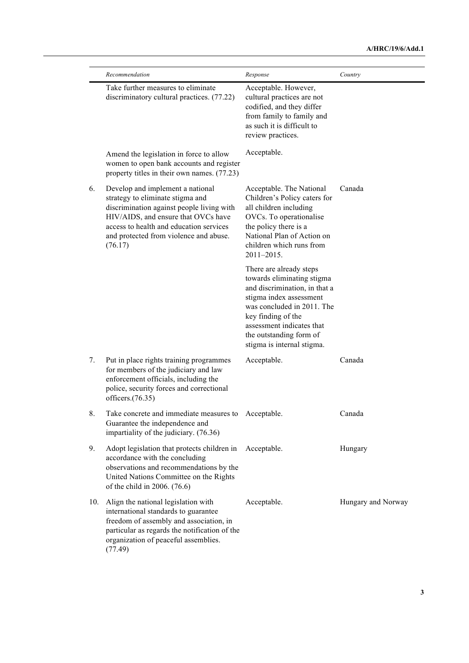|     | Recommendation                                                                                                                                                                                                                                           | Response                                                                                                                                                                                                                                                    | Country            |
|-----|----------------------------------------------------------------------------------------------------------------------------------------------------------------------------------------------------------------------------------------------------------|-------------------------------------------------------------------------------------------------------------------------------------------------------------------------------------------------------------------------------------------------------------|--------------------|
|     | Take further measures to eliminate<br>discriminatory cultural practices. (77.22)                                                                                                                                                                         | Acceptable. However,<br>cultural practices are not<br>codified, and they differ<br>from family to family and<br>as such it is difficult to<br>review practices.                                                                                             |                    |
|     | Amend the legislation in force to allow<br>women to open bank accounts and register<br>property titles in their own names. (77.23)                                                                                                                       | Acceptable.                                                                                                                                                                                                                                                 |                    |
| 6.  | Develop and implement a national<br>strategy to eliminate stigma and<br>discrimination against people living with<br>HIV/AIDS, and ensure that OVCs have<br>access to health and education services<br>and protected from violence and abuse.<br>(76.17) | Acceptable. The National<br>Children's Policy caters for<br>all children including<br>OVCs. To operationalise<br>the policy there is a<br>National Plan of Action on<br>children which runs from<br>$2011 - 2015$ .                                         | Canada             |
|     |                                                                                                                                                                                                                                                          | There are already steps<br>towards eliminating stigma<br>and discrimination, in that a<br>stigma index assessment<br>was concluded in 2011. The<br>key finding of the<br>assessment indicates that<br>the outstanding form of<br>stigma is internal stigma. |                    |
| 7.  | Put in place rights training programmes<br>for members of the judiciary and law<br>enforcement officials, including the<br>police, security forces and correctional<br>officers. $(76.35)$                                                               | Acceptable.                                                                                                                                                                                                                                                 | Canada             |
| 8.  | Take concrete and immediate measures to Acceptable.<br>Guarantee the independence and<br>impartiality of the judiciary. (76.36)                                                                                                                          |                                                                                                                                                                                                                                                             | Canada             |
| 9.  | Adopt legislation that protects children in<br>accordance with the concluding<br>observations and recommendations by the<br>United Nations Committee on the Rights<br>of the child in 2006. (76.6)                                                       | Acceptable.                                                                                                                                                                                                                                                 | Hungary            |
| 10. | Align the national legislation with<br>international standards to guarantee<br>freedom of assembly and association, in<br>particular as regards the notification of the<br>organization of peaceful assemblies.<br>(77.49)                               | Acceptable.                                                                                                                                                                                                                                                 | Hungary and Norway |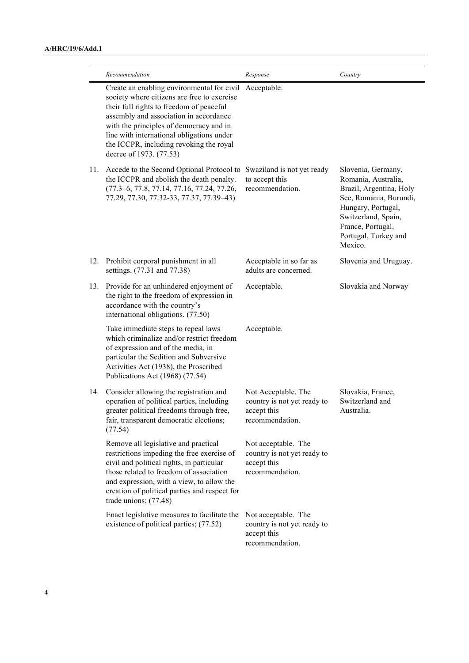|     | Recommendation                                                                                                                                                                                                                                                                                                                                | Response                                                                             | Country                                                                                                                                                                                             |
|-----|-----------------------------------------------------------------------------------------------------------------------------------------------------------------------------------------------------------------------------------------------------------------------------------------------------------------------------------------------|--------------------------------------------------------------------------------------|-----------------------------------------------------------------------------------------------------------------------------------------------------------------------------------------------------|
|     | Create an enabling environmental for civil<br>society where citizens are free to exercise<br>their full rights to freedom of peaceful<br>assembly and association in accordance<br>with the principles of democracy and in<br>line with international obligations under<br>the ICCPR, including revoking the royal<br>decree of 1973. (77.53) | Acceptable.                                                                          |                                                                                                                                                                                                     |
| 11. | Accede to the Second Optional Protocol to<br>the ICCPR and abolish the death penalty.<br>(77.3-6, 77.8, 77.14, 77.16, 77.24, 77.26,<br>77.29, 77.30, 77.32-33, 77.37, 77.39-43)                                                                                                                                                               | Swaziland is not yet ready<br>to accept this<br>recommendation.                      | Slovenia, Germany,<br>Romania, Australia,<br>Brazil, Argentina, Holy<br>See, Romania, Burundi,<br>Hungary, Portugal,<br>Switzerland, Spain,<br>France, Portugal,<br>Portugal, Turkey and<br>Mexico. |
| 12. | Prohibit corporal punishment in all<br>settings. (77.31 and 77.38)                                                                                                                                                                                                                                                                            | Acceptable in so far as<br>adults are concerned.                                     | Slovenia and Uruguay.                                                                                                                                                                               |
| 13. | Provide for an unhindered enjoyment of<br>the right to the freedom of expression in<br>accordance with the country's<br>international obligations. (77.50)                                                                                                                                                                                    | Acceptable.                                                                          | Slovakia and Norway                                                                                                                                                                                 |
|     | Take immediate steps to repeal laws<br>which criminalize and/or restrict freedom<br>of expression and of the media, in<br>particular the Sedition and Subversive<br>Activities Act (1938), the Proscribed<br>Publications Act (1968) (77.54)                                                                                                  | Acceptable.                                                                          |                                                                                                                                                                                                     |
| 14. | Consider allowing the registration and<br>operation of political parties, including<br>greater political freedoms through free,<br>fair, transparent democratic elections;<br>(77.54)                                                                                                                                                         | Not Acceptable. The<br>country is not yet ready to<br>accept this<br>recommendation. | Slovakia, France,<br>Switzerland and<br>Australia.                                                                                                                                                  |
|     | Remove all legislative and practical<br>restrictions impeding the free exercise of<br>civil and political rights, in particular<br>those related to freedom of association<br>and expression, with a view, to allow the<br>creation of political parties and respect for<br>trade unions; $(77.48)$                                           | Not acceptable. The<br>country is not yet ready to<br>accept this<br>recommendation. |                                                                                                                                                                                                     |
|     | Enact legislative measures to facilitate the<br>existence of political parties; (77.52)                                                                                                                                                                                                                                                       | Not acceptable. The<br>country is not yet ready to<br>accept this<br>recommendation. |                                                                                                                                                                                                     |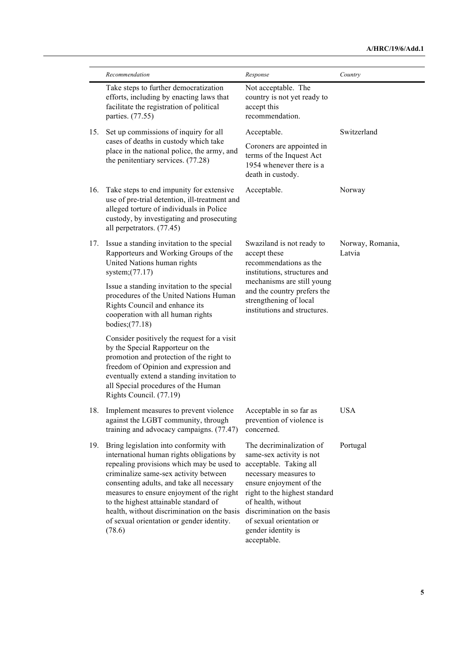|     | Recommendation                                                                                                                                                                                                                                                                                                                                                                                                                            | Response                                                                                                                                                                                                                                                        | Country                    |
|-----|-------------------------------------------------------------------------------------------------------------------------------------------------------------------------------------------------------------------------------------------------------------------------------------------------------------------------------------------------------------------------------------------------------------------------------------------|-----------------------------------------------------------------------------------------------------------------------------------------------------------------------------------------------------------------------------------------------------------------|----------------------------|
|     | Take steps to further democratization<br>efforts, including by enacting laws that<br>facilitate the registration of political<br>parties. (77.55)                                                                                                                                                                                                                                                                                         | Not acceptable. The<br>country is not yet ready to<br>accept this<br>recommendation.                                                                                                                                                                            |                            |
| 15. | Set up commissions of inquiry for all<br>cases of deaths in custody which take<br>place in the national police, the army, and<br>the penitentiary services. (77.28)                                                                                                                                                                                                                                                                       | Acceptable.<br>Coroners are appointed in<br>terms of the Inquest Act<br>1954 whenever there is a<br>death in custody.                                                                                                                                           | Switzerland                |
| 16. | Take steps to end impunity for extensive<br>use of pre-trial detention, ill-treatment and<br>alleged torture of individuals in Police<br>custody, by investigating and prosecuting<br>all perpetrators. (77.45)                                                                                                                                                                                                                           | Acceptable.                                                                                                                                                                                                                                                     | Norway                     |
| 17. | Issue a standing invitation to the special<br>Rapporteurs and Working Groups of the<br>United Nations human rights<br>system; $(77.17)$                                                                                                                                                                                                                                                                                                   | Swaziland is not ready to<br>accept these<br>recommendations as the<br>institutions, structures and                                                                                                                                                             | Norway, Romania,<br>Latvia |
|     | Issue a standing invitation to the special<br>procedures of the United Nations Human<br>Rights Council and enhance its<br>cooperation with all human rights<br>bodies; (77.18)                                                                                                                                                                                                                                                            | mechanisms are still young<br>and the country prefers the<br>strengthening of local<br>institutions and structures.                                                                                                                                             |                            |
|     | Consider positively the request for a visit<br>by the Special Rapporteur on the<br>promotion and protection of the right to<br>freedom of Opinion and expression and<br>eventually extend a standing invitation to<br>all Special procedures of the Human<br>Rights Council. (77.19)                                                                                                                                                      |                                                                                                                                                                                                                                                                 |                            |
| 18. | Implement measures to prevent violence<br>against the LGBT community, through<br>training and advocacy campaigns. (77.47)                                                                                                                                                                                                                                                                                                                 | Acceptable in so far as<br>prevention of violence is<br>concerned.                                                                                                                                                                                              | <b>USA</b>                 |
| 19. | Bring legislation into conformity with<br>international human rights obligations by<br>repealing provisions which may be used to acceptable. Taking all<br>criminalize same-sex activity between<br>consenting adults, and take all necessary<br>measures to ensure enjoyment of the right<br>to the highest attainable standard of<br>health, without discrimination on the basis<br>of sexual orientation or gender identity.<br>(78.6) | The decriminalization of<br>same-sex activity is not<br>necessary measures to<br>ensure enjoyment of the<br>right to the highest standard<br>of health, without<br>discrimination on the basis<br>of sexual orientation or<br>gender identity is<br>acceptable. | Portugal                   |